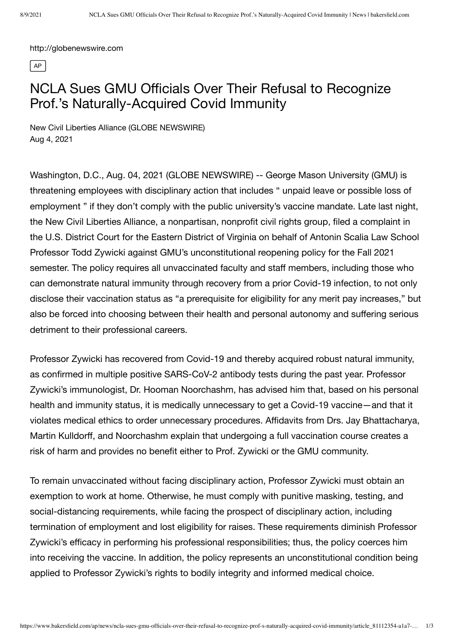http://globenewswire.com

 $\sqrt{AP}$ 

## NCLA Sues GMU Officials Over Their Refusal to Recognize Prof.'s Naturally-Acquired Covid Immunity

New Civil Liberties Alliance (GLOBE NEWSWIRE) Aug 4, 2021

Washington, D.C., Aug. 04, 2021 (GLOBE NEWSWIRE) -- George Mason University (GMU) is threatening employees with disciplinary action that includes " unpaid leave or possible loss of employment " if they don't comply with the public [university's vaccine](https://www.globenewswire.com/Tracker?data=9Y0Z3XL%E2%80%94wTHg5zLx-pGVCV4Yz7ZlmIDQZBrzq9RDNGVCy46j8BcB0ruD6usYv4ULvAKuFz49ALbrbdOM5xkbNzo7Y1FB2UdbyxOlILDF5MDtZBkhwOnlPN9wYchDyvdMxLWUci7ZHm9wJ-L2YZNZYJJpAhrZkTwM9QQA0BIoQSg=) mandate. Late last night, the New Civil Liberties Alliance, a nonpartisan, nonprofit civil rights group, filed a [complaint](https://www.globenewswire.com/Tracker?data=Z%E2%80%94DkAI6scPE9N6h2rbHAD%E2%80%94745y4ubflsSD3cg2jv4VrnDi4Y0X7iDUT0LIfEXEnQtPXFqgJqKR5D0rFZJ0vXHptyVkPJVyD251ESrYvcOE1wJgUv3mN32fTK5Kp-docDKtnBInnePqq638Fghtkd0w==) in the U.S. District Court for the Eastern District of Virginia on behalf of Antonin Scalia Law School Professor Todd Zywicki against GMU's unconstitutional [reopening](https://www.globenewswire.com/Tracker?data=RH%E2%80%94PcsyNuC6A4goyYwbJJe72fvuzoJstuABsBvsNHeh2UvZJcwqPBkzXErAD7fIoKvo9jMHFoWj3W6EBkg4jkKIOxJAvLhlmK7VNN80ah6diQ7x9QsdnQk6zycjkuKDXRrhDODXlEo-pXF%E2%80%94n0TY8Ug==) policy for the Fall 2021 semester. The policy requires all unvaccinated faculty and staff members, including those who can demonstrate natural immunity through recovery from a prior Covid-19 infection, to not only disclose their vaccination status as "a prerequisite for eligibility for any merit pay increases," but also be forced into choosing between their health and personal autonomy and suffering serious detriment to their professional careers.

Professor Zywicki has recovered from Covid-19 and thereby acquired robust natural immunity, as confirmed in multiple positive SARS-CoV-2 antibody tests during the past year. Professor Zywicki's immunologist, Dr. Hooman Noorchashm, has advised him that, based on his personal health and immunity status, it is medically unnecessary to get a Covid-19 vaccine—and that it violates medical ethics to order unnecessary procedures. [Affidavits](https://www.globenewswire.com/Tracker?data=lP0vOwFE4xFlgECAeP6Q4gjLE46knIlDJTKZvnGWJOykeVGMYpU4U2HmgBSyxFr8hAGGRTCXm-28ADB1sjGDYKuyMyUNM1WFql1DTWJIW-XwxQHVDlujWxxI5CtniRwe2dH1p4GPGqm2AVjhfC8gJt06AKoWOs7iEzsVtBiH1-4=) from Drs. Jay Bhattacharya, Martin Kulldorff, and Noorchashm explain that undergoing a full vaccination course creates a risk of harm and provides no benefit either to Prof. Zywicki or the GMU community.

To remain unvaccinated without facing disciplinary action, Professor Zywicki must obtain an exemption to work at home. Otherwise, he must comply with punitive masking, testing, and social-distancing requirements, while facing the prospect of disciplinary action, including termination of employment and lost eligibility for raises. These requirements diminish Professor Zywicki's efficacy in performing his professional responsibilities; thus, the policy coerces him into receiving the vaccine. In addition, the policy represents an unconstitutional condition being applied to Professor Zywicki's rights to bodily integrity and informed medical choice.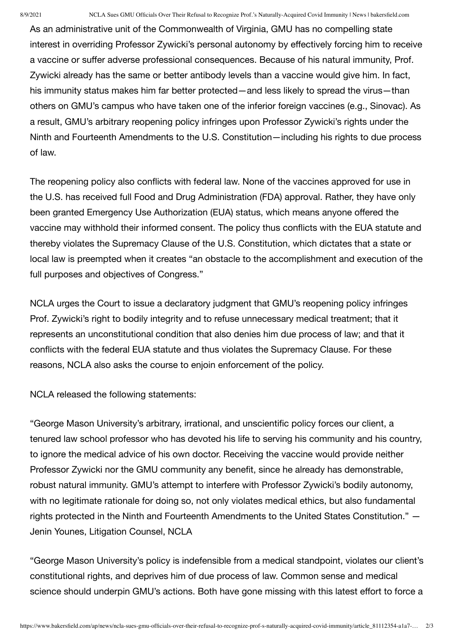As an administrative unit of the Commonwealth of Virginia, GMU has no compelling state interest in overriding Professor Zywicki's personal autonomy by effectively forcing him to receive a vaccine or suffer adverse professional consequences. Because of his natural immunity, Prof. Zywicki already has the same or better antibody levels than a vaccine would give him. In fact, his immunity status makes him far better protected—and less likely to spread the virus—than others on GMU's campus who have taken one of the inferior foreign vaccines (e.g., Sinovac). As a result, GMU's arbitrary reopening policy infringes upon Professor Zywicki's rights under the Ninth and Fourteenth Amendments to the U.S. Constitution—including his rights to due process of law.

The reopening policy also conflicts with federal law. None of the vaccines approved for use in the U.S. has received full Food and Drug Administration (FDA) approval. Rather, they have only been granted Emergency Use Authorization (EUA) status, which means anyone offered the vaccine may withhold their informed consent. The policy thus conflicts with the EUA statute and thereby violates the Supremacy Clause of the U.S. Constitution, which dictates that a state or local law is preempted when it creates "an obstacle to the accomplishment and execution of the full purposes and objectives of Congress."

NCLA urges the Court to issue a declaratory judgment that GMU's reopening policy infringes Prof. Zywicki's right to bodily integrity and to refuse unnecessary medical treatment; that it represents an unconstitutional condition that also denies him due process of law; and that it conflicts with the federal EUA statute and thus violates the Supremacy Clause. For these reasons, NCLA also asks the course to enjoin enforcement of the policy.

NCLA released the following statements:

"George Mason University's arbitrary, irrational, and unscientific policy forces our client, a tenured law school professor who has devoted his life to serving his community and his country, to ignore the medical advice of his own doctor. Receiving the vaccine would provide neither Professor Zywicki nor the GMU community any benefit, since he already has demonstrable, robust natural immunity. GMU's attempt to interfere with Professor Zywicki's bodily autonomy, with no legitimate rationale for doing so, not only violates medical ethics, but also fundamental rights protected in the Ninth and Fourteenth Amendments to the United States Constitution." — Jenin Younes, Litigation Counsel, NCLA

"George Mason University's policy is indefensible from a medical standpoint, violates our client's constitutional rights, and deprives him of due process of law. Common sense and medical science should underpin GMU's actions. Both have gone missing with this latest effort to force a